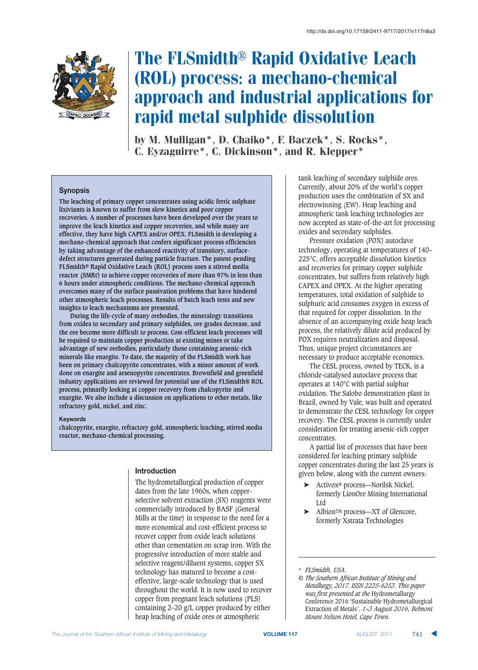

# The FLSmidth® Rapid Oxidative Leach (ROL) process: a mechano-chemical approach and industrial applications for rapid metal sulphide dissolution

by M. Mulligan\*, D. Chaiko\*, F. Baczek\*, S. Rocks\*, C. Eyzaguirre\*, C. Dickinson\*, and R. Klepper\*

# **Synopsis**

**The leaching of primary copper concentrates using acidic ferric sulphate lixiviants is known to suffer from slow kinetics and poor copper recoveries. A number of processes have been developed over the years to improve the leach kinetics and copper recoveries, and while many are effective, they have high CAPEX and/or OPEX. FLSmidth is developing a mechano-chemical approach that confers significant process efficiencies by taking advantage of the enhanced reactivity of transitory, surfacedefect structures generated during particle fracture. The patent-pending FLSmidth® Rapid Oxidative Leach (ROL) process uses a stirred media reactor (SMRt) to achieve copper recoveries of more than 97% in less than 6 hours under atmospheric conditions. The mechano-chemical approach overcomes many of the surface passivation problems that have hindered other atmospheric leach processes. Results of batch leach tests and new insights to leach mechanisms are presented.**

**During the life-cycle of many orebodies, the mineralogy transitions from oxides to secondary and primary sulphides, ore grades decrease, and the ore become more difficult to process. Cost-efficient leach processes will be required to maintain copper production at existing mines or take advantage of new orebodies, particularly those containing arsenic-rich minerals like enargite. To date, the majority of the FLSmidth work has been on primary chalcopyrite concentrates, with a minor amount of work done on enargite and arsenopyrite concentrates. Brownfield and greenfield industry applications are reviewed for potential use of the FLSmidth® ROL process, primarily looking at copper recovery from chalcopyrite and enargite. We also include a discussion on applications to other metals, like refractory gold, nickel, and zinc.**

#### **Keywords**

**chalcopyrite, enargite, refractory gold, atmospheric leaching, stirred media reactor, mechano-chemical processing.**

# **Introduction**

The hydrometallurgical production of copper dates from the late 1960s, when copperselective solvent extraction (SX) reagents were commercially introduced by BASF (General Mills at the time) in response to the need for a more economical and cost-efficient process to recover copper from oxide leach solutions other than cementation on scrap iron. With the progressive introduction of more stable and selective reagent/diluent systems, copper SX technology has matured to become a costeffective, large-scale technology that is used throughout the world. It is now used to recover copper from pregnant leach solutions (PLS) containing 2–20 g/L copper produced by either heap leaching of oxide ores or atmospheric

tank leaching of secondary sulphide ores. Currently, about 20% of the world's copper production uses the combination of SX and electrowinning (EW). Heap leaching and atmospheric tank leaching technologies are now accepted as state-of-the-art for processing oxides and secondary sulphides.

Pressure oxidation (POX) autoclave technology, operating at temperatures of 140– 225°C, offers acceptable dissolution kinetics and recoveries for primary copper sulphide concentrates, but suffers from relatively high CAPEX and OPEX. At the higher operating temperatures, total oxidation of sulphide to sulphuric acid consumes oxygen in excess of that required for copper dissolution. In the absence of an accompanying oxide heap leach process, the relatively dilute acid produced by POX requires neutralization and disposal. Thus, unique project circumstances are necessary to produce acceptable economics.

The CESL process, owned by TECK, is a chloride-catalysed autoclave process that operates at 140°C with partial sulphur oxidation. The Salobo demonstration plant in Brazil, owned by Vale, was built and operated to demonstrate the CESL technology for copper recovery. The CESL process is currently under consideration for treating arsenic-rich copper concentrates.

A partial list of processes that have been considered for leaching primary sulphide copper concentrates during the last 25 years is given below, along with the current owners:

- ➤ Activox® process—Norilsk Nickel, formerly LionOre Mining International Ltd
- ➤ AlbionTM process—XT of Glencore, formerly Xstrata Technologies

<sup>\*</sup> *FLSmidth, USA.*

*<sup>©</sup> The Southern African Institute of Mining and Metallurgy, 2017. ISSN 2225-6253. This paper was first presented at the* Hydrometallurgy Conference 2016 'Sustainable Hydrometallurgical Extraction of Metals', *1–3 August 2016, Belmont Mount Nelson Hotel, Cape Town.*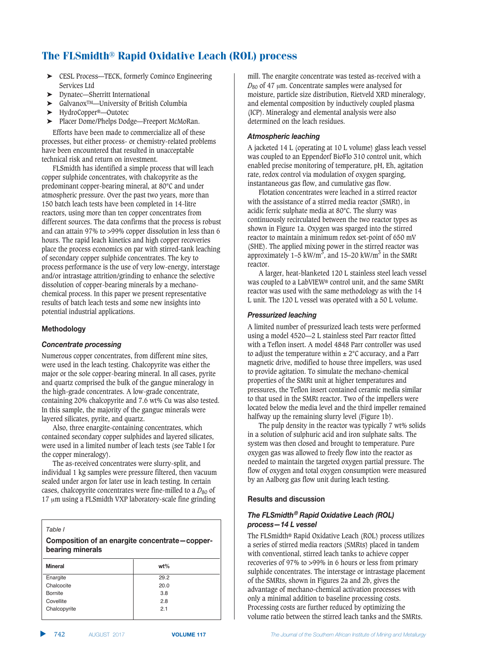- ➤ CESL Process—TECK, formerly Cominco Engineering Services Ltd
- ➤ Dynatec—Sherritt International
- ➤ GalvanoxTM—University of British Columbia
- ➤ HydroCopper®—Outotec
- ➤ Placer Dome/Phelps Dodge—Freeport McMoRan.

Efforts have been made to commercialize all of these processes, but either process- or chemistry-related problems have been encountered that resulted in unacceptable technical risk and return on investment.

FLSmidth has identified a simple process that will leach copper sulphide concentrates, with chalcopyrite as the predominant copper-bearing mineral, at 80°C and under atmospheric pressure. Over the past two years, more than 150 batch leach tests have been completed in 14-litre reactors, using more than ten copper concentrates from different sources. The data confirms that the process is robust and can attain 97% to >99% copper dissolution in less than 6 hours. The rapid leach kinetics and high copper recoveries place the process economics on par with stirred-tank leaching of secondary copper sulphide concentrates. The key to process performance is the use of very low-energy, interstage and/or intrastage attrition/grinding to enhance the selective dissolution of copper-bearing minerals by a mechanochemical process. In this paper we present representative results of batch leach tests and some new insights into potential industrial applications.

# **Methodology**

#### $Concentrate processing$

Numerous copper concentrates, from different mine sites, were used in the leach testing. Chalcopyrite was either the major or the sole copper-bearing mineral. In all cases, pyrite and quartz comprised the bulk of the gangue mineralogy in the high-grade concentrates. A low-grade concentrate, containing 20% chalcopyrite and 7.6 wt% Cu was also tested. In this sample, the majority of the gangue minerals were layered silicates, pyrite, and quartz.

Also, three enargite-containing concentrates, which contained secondary copper sulphides and layered silicates, were used in a limited number of leach tests (see Table I for the copper mineralogy).

The as-received concentrates were slurry-split, and individual 1 kg samples were pressure filtered, then vacuum sealed under argon for later use in leach testing. In certain cases, chalcopyrite concentrates were fine-milled to a  $D_{80}$  of  $17 \mu m$  using a FLSmidth VXP laboratory-scale fine grinding

*Table I*

**Composition of an enargite concentrate-copperbearing minerals** 

| <b>Mineral</b> | $wt\%$ |
|----------------|--------|
| Enargite       | 29.2   |
| Chalcocite     | 20.0   |
| <b>Bornite</b> | 3.8    |
| Covellite      | 2.8    |
| Chalcopyrite   | 2.1    |
|                |        |

mill. The enargite concentrate was tested as-received with a  $D_{80}$  of 47  $\mu$ m. Concentrate samples were analysed for moisture, particle size distribution, Rietveld XRD mineralogy, and elemental composition by inductively coupled plasma (ICP). Mineralogy and elemental analysis were also determined on the leach residues.

## $A$ *tmospheric leaching*

A jacketed 14 L (operating at 10 L volume) glass leach vessel was coupled to an Eppendorf BioFlo 310 control unit, which enabled precise monitoring of temperature, pH, Eh, agitation rate, redox control via modulation of oxygen sparging, instantaneous gas flow, and cumulative gas flow.

Flotation concentrates were leached in a stirred reactor with the assistance of a stirred media reactor (SMRt), in acidic ferric sulphate media at 80°C. The slurry was continuously recirculated between the two reactor types as shown in Figure 1a. Oxygen was sparged into the stirred reactor to maintain a minimum redox set-point of 650 mV (SHE). The applied mixing power in the stirred reactor was approximately  $1-5 \text{ kW/m}^3$ , and  $15-20 \text{ kW/m}^3$  in the SMRt reactor.

A larger, heat-blanketed 120 L stainless steel leach vessel was coupled to a LabVIEW® control unit, and the same SMRt reactor was used with the same methodology as with the 14 L unit. The 120 L vessel was operated with a 50 L volume.

# *<u>Pressurized leaching</u>*

A limited number of pressurized leach tests were performed using a model 4520—2 L stainless steel Parr reactor fitted with a Teflon insert. A model 4848 Parr controller was used to adjust the temperature within  $\pm 2^{\circ}$ C accuracy, and a Parr magnetic drive, modified to house three impellers, was used to provide agitation. To simulate the mechano-chemical properties of the SMRt unit at higher temperatures and pressures, the Teflon insert contained ceramic media similar to that used in the SMRt reactor. Two of the impellers were located below the media level and the third impeller remained halfway up the remaining slurry level (Figure 1b).

The pulp density in the reactor was typically 7 wt% solids in a solution of sulphuric acid and iron sulphate salts. The system was then closed and brought to temperature. Pure oxygen gas was allowed to freely flow into the reactor as needed to maintain the targeted oxygen partial pressure. The flow of oxygen and total oxygen consumption were measured by an Aalborg gas flow unit during leach testing.

# **Results and discussion**

# The FLSmidth® Rapid Oxidative Leach (ROL) process—14 L vessel

The FLSmidth® Rapid Oxidative Leach (ROL) process utilizes a series of stirred media reactors (SMRts) placed in tandem with conventional, stirred leach tanks to achieve copper recoveries of 97% to >99% in 6 hours or less from primary sulphide concentrates. The interstage or intrastage placement of the SMRts, shown in Figures 2a and 2b, gives the advantage of mechano-chemical activation processes with only a minimal addition to baseline processing costs. Processing costs are further reduced by optimizing the volume ratio between the stirred leach tanks and the SMRts.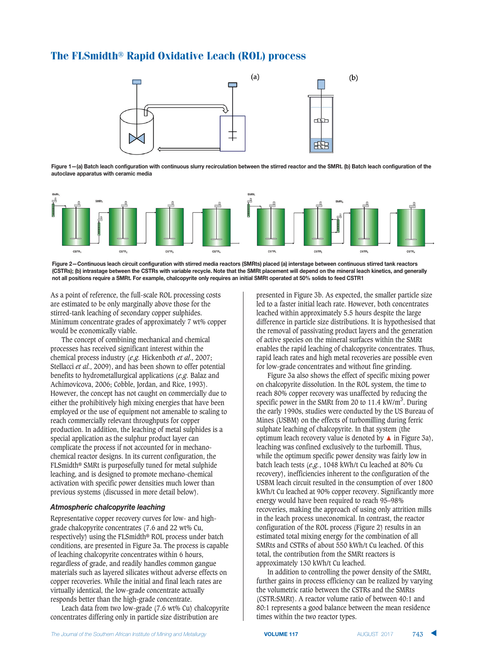

Figure 1-(a) Batch leach configuration with continuous slurry recirculation between the stirred reactor and the SMRt. (b) Batch leach configuration of the  $B$  autoclave apparatus with ceramic media



Figure 2-Continuous leach circuit configuration with stirred media reactors (SMRts) placed (a) interstage between continuous stirred tank reactors (CSTRs); (b) intrastage between the CSTRs with variable recycle. Note that the SMRt placement will depend on the mineral leach kinetics, and generally not all positions require a SMRt. For example, chalcopyrite only requires an initial SMRt operated at 50% solids to feed CSTR1

As a point of reference, the full-scale ROL processing costs are estimated to be only marginally above those for the stirred-tank leaching of secondary copper sulphides. Minimum concentrate grades of approximately 7 wt% copper would be economically viable.

The concept of combining mechanical and chemical processes has received significant interest within the chemical process industry (*e.g.* Hickenboth *et al*., 2007; Stellacci *et al*., 2009), and has been shown to offer potential benefits to hydrometallurgical applications (*e.g.* Balaz and Achimovicova, 2006; Cobble, Jordan, and Rice, 1993). However, the concept has not caught on commercially due to either the prohibitively high mixing energies that have been employed or the use of equipment not amenable to scaling to reach commercially relevant throughputs for copper production. In addition, the leaching of metal sulphides is a special application as the sulphur product layer can complicate the process if not accounted for in mechanochemical reactor designs. In its current configuration, the FLSmidth® SMRt is purposefully tuned for metal sulphide leaching, and is designed to promote mechano-chemical activation with specific power densities much lower than previous systems (discussed in more detail below).

# $*$  *Atmospheric chalcopyrite leaching*

Representative copper recovery curves for low- and highgrade chalcopyrite concentrates (7.6 and 22 wt% Cu, respectively) using the FLSmidth® ROL process under batch conditions, are presented in Figure 3a. The process is capable of leaching chalcopyrite concentrates within 6 hours, regardless of grade, and readily handles common gangue materials such as layered silicates without adverse effects on copper recoveries. While the initial and final leach rates are virtually identical, the low-grade concentrate actually responds better than the high-grade concentrate.

Leach data from two low-grade (7.6 wt% Cu) chalcopyrite concentrates differing only in particle size distribution are

presented in Figure 3b. As expected, the smaller particle size led to a faster initial leach rate. However, both concentrates leached within approximately 5.5 hours despite the large difference in particle size distributions. It is hypothesised that the removal of passivating product layers and the generation of active species on the mineral surfaces within the SMRt enables the rapid leaching of chalcopyrite concentrates. Thus, rapid leach rates and high metal recoveries are possible even for low-grade concentrates and without fine grinding.

Figure 3a also shows the effect of specific mixing power on chalcopyrite dissolution. In the ROL system, the time to reach 80% copper recovery was unaffected by reducing the specific power in the SMRt from 20 to 11.4  $\text{kW/m}^3$ . During the early 1990s, studies were conducted by the US Bureau of Mines (USBM) on the effects of turbomilling during ferric sulphate leaching of chalcopyrite. In that system (the optimum leach recovery value is denoted by **▲** in Figure 3a), leaching was confined exclusively to the turbomill. Thus, while the optimum specific power density was fairly low in batch leach tests (*e.g.*, 1048 kWh/t Cu leached at 80% Cu recovery), inefficiencies inherent to the configuration of the USBM leach circuit resulted in the consumption of over 1800 kWh/t Cu leached at 90% copper recovery. Significantly more energy would have been required to reach 95–98% recoveries, making the approach of using only attrition mills in the leach process uneconomical. In contrast, the reactor configuration of the ROL process (Figure 2) results in an estimated total mixing energy for the combination of all SMRts and CSTRs of about 550 kWh/t Cu leached. Of this total, the contribution from the SMRt reactors is approximately 130 kWh/t Cu leached.

In addition to controlling the power density of the SMRt, further gains in process efficiency can be realized by varying the volumetric ratio between the CSTRs and the SMRts (CSTR:SMRt). A reactor volume ratio of between 40:1 and 80:1 represents a good balance between the mean residence times within the two reactor types.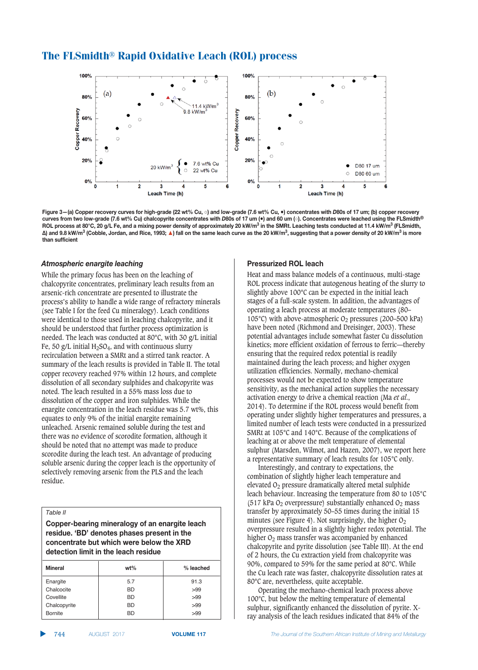

Figure 3-(a) Copper recovery curves for high-grade (22 wt% Cu, o) and low-grade (7.6 wt% Cu,  $\bullet$ ) concentrates with D80s of 17 um; (b) copper recovery curves from two low-grade (7.6 wt% Cu) chalcopyrite concentrates with D80s of 17 um ( $\bullet$ ) and 60 um (o). Concentrates were leached using the FLSmidth® ROL process at 80°C, 20 q/L Fe, and a mixing power density of approximately 20 kW/m<sup>3</sup> in the SMRt. Leaching tests conducted at 11.4 kW/m<sup>3</sup> (FLSmidth,  $\Delta$ ) and 9.8 kW/m<sup>3</sup> (Cobble, Jordan, and Rice, 1993; A) fall on the same leach curve as the 20 kW/m<sup>3</sup>, suggesting that a power density of 20 kW/m<sup>3</sup> is more  $\frac{1}{2}$ **han** sufficient

#### $\overline{A}$ *tmospheric enargite leaching*

While the primary focus has been on the leaching of chalcopyrite concentrates, preliminary leach results from an arsenic-rich concentrate are presented to illustrate the process's ability to handle a wide range of refractory minerals (see Table I for the feed Cu mineralogy). Leach conditions were identical to those used in leaching chalcopyrite, and it should be understood that further process optimization is needed. The leach was conducted at 80°C, with 30 g/L initial Fe, 50 g/L initial  $H_2SO_4$ , and with continuous slurry recirculation between a SMRt and a stirred tank reactor. A summary of the leach results is provided in Table II. The total copper recovery reached 97% within 12 hours, and complete dissolution of all secondary sulphides and chalcopyrite was noted. The leach resulted in a 55% mass loss due to dissolution of the copper and iron sulphides. While the enargite concentration in the leach residue was 5.7 wt%, this equates to only 9% of the initial enargite remaining unleached. Arsenic remained soluble during the test and there was no evidence of scorodite formation, although it should be noted that no attempt was made to produce scorodite during the leach test. An advantage of producing soluble arsenic during the copper leach is the opportunity of selectively removing arsenic from the PLS and the leach residue.

#### *Table II*

**Copper-bearing mineralogy of an enargite leach** residue. 'BD' denotes phases present in the **.? concentrate but which were below the XRD** detection limit in the leach residue

| <b>Mineral</b> | $wt\%$    | % leached |  |
|----------------|-----------|-----------|--|
| Enargite       | 5.7       | 91.3      |  |
| Chalcocite     | <b>BD</b> | >99       |  |
| Covellite      | <b>BD</b> | >99       |  |
| Chalcopyrite   | <b>BD</b> | >99       |  |
| <b>Bornite</b> | BD        | >99       |  |

#### **Pressurized ROL leach**

Heat and mass balance models of a continuous, multi-stage ROL process indicate that autogenous heating of the slurry to slightly above 100°C can be expected in the initial leach stages of a full-scale system. In addition, the advantages of operating a leach process at moderate temperatures (80– 105°C) with above-atmospheric  $O_2$  pressures (200–500 kPa) have been noted (Richmond and Dreisinger, 2003). These potential advantages include somewhat faster Cu dissolution kinetics; more efficient oxidation of ferrous to ferric—thereby ensuring that the required redox potential is readily maintained during the leach process; and higher oxygen utilization efficiencies. Normally, mechano-chemical processes would not be expected to show temperature sensitivity, as the mechanical action supplies the necessary activation energy to drive a chemical reaction (Ma *et al*., 2014). To determine if the ROL process would benefit from operating under slightly higher temperatures and pressures, a limited number of leach tests were conducted in a pressurized SMRt at 105°C and 140°C. Because of the complications of leaching at or above the melt temperature of elemental sulphur (Marsden, Wilmot, and Hazen, 2007), we report here a representative summary of leach results for 105°C only.

Interestingly, and contrary to expectations, the combination of slightly higher leach temperature and elevated O2 pressure dramatically altered metal sulphide leach behaviour. Increasing the temperature from 80 to 105°C (517 kPa  $O<sub>2</sub>$  overpressure) substantially enhanced  $O<sub>2</sub>$  mass transfer by approximately 50–55 times during the initial 15 minutes (see Figure 4). Not surprisingly, the higher  $O_2$ overpressure resulted in a slightly higher redox potential. The higher O<sub>2</sub> mass transfer was accompanied by enhanced chalcopyrite and pyrite dissolution (see Table III). At the end of 2 hours, the Cu extraction yield from chalcopyrite was 90%, compared to 59% for the same period at 80°C. While the Cu leach rate was faster, chalcopyrite dissolution rates at 80°C are, nevertheless, quite acceptable.

Operating the mechano-chemical leach process above 100°C, but below the melting temperature of elemental sulphur, significantly enhanced the dissolution of pyrite. Xray analysis of the leach residues indicated that 84% of the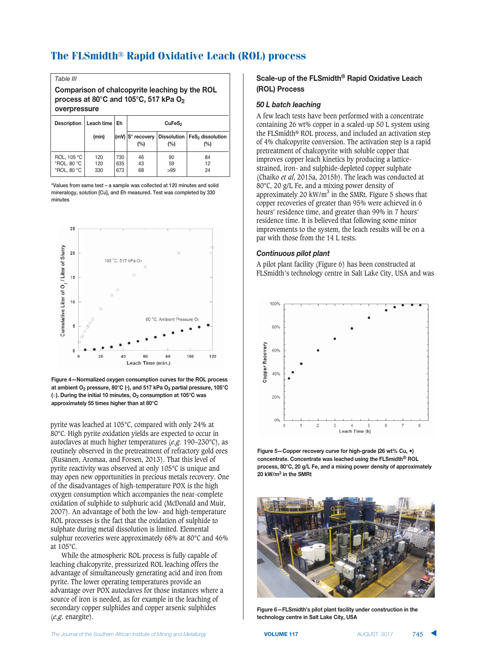| Table III                                                                                                           |                   |     |                             |                    |                                     |  |  |
|---------------------------------------------------------------------------------------------------------------------|-------------------|-----|-----------------------------|--------------------|-------------------------------------|--|--|
| Comparison of chalcopyrite leaching by the ROL<br>process at 80°C and 105°C, 517 kPa O <sub>2</sub><br>overpressure |                   |     |                             |                    |                                     |  |  |
| <b>Description</b>                                                                                                  | Leach time $ $ Eh |     | CuFeS <sub>2</sub>          |                    |                                     |  |  |
|                                                                                                                     | (min)             |     | $(mV)$ $S°$ recovery<br>(%) | Dissolution<br>(%) | FeS <sub>2</sub> dissolution<br>(%) |  |  |
| ROL, 105 °C                                                                                                         | 120               | 730 | 46                          | 90                 | 84                                  |  |  |
| *ROL. 80 °C                                                                                                         | 120               | 635 | 43                          | 59                 | 12                                  |  |  |
| *ROL. 80 °C                                                                                                         | 330               | 673 | 68                          | >99                | 24                                  |  |  |

\*Values from same test - a sample was collected at 120 minutes and solid mineralogy, solution [Cu], and Eh measured. Test was completed by 330 minutes



**Figure 4-Normalized oxygen consumption curves for the ROL process DEGD8+CFAEG- :BF>>;BF1 .#5 321GDA9G"( \$DG- :DBECD<G:BF>>;BF1 (."#5**  $\left(\circ\right)$ . During the initial 10 minutes, O<sub>2</sub> consumption at 105°C was  $approximately 55 times higher than at 80°C$ 

pyrite was leached at 105°C, compared with only 24% at 80°C. High pyrite oxidation yields are expected to occur in autoclaves at much higher temperatures (*e.g.* 190–230°C), as routinely observed in the pretreatment of refractory gold ores (Rusanen, Aromaa, and Forsen, 2013). That this level of pyrite reactivity was observed at only 105°C is unique and may open new opportunities in precious metals recovery. One of the disadvantages of high-temperature POX is the high oxygen consumption which accompanies the near-complete oxidation of sulphide to sulphuric acid (McDonald and Muir, 2007). An advantage of both the low- and high-temperature ROL processes is the fact that the oxidation of sulphide to sulphate during metal dissolution is limited. Elemental sulphur recoveries were approximately 68% at 80°C and 46% at 105°C.

While the atmospheric ROL process is fully capable of leaching chalcopyrite, pressurized ROL leaching offers the advantage of simultaneously generating acid and iron from pyrite. The lower operating temperatures provide an advantage over POX autoclaves for those instances where a source of iron is needed, as for example in the leaching of secondary copper sulphides and copper arsenic sulphides (*e.g.* enargite).

# **Scale-up of the FLSmidth<sup>®</sup> Rapid Oxidative Leach (ROL)** Process

#### $50$  *L* batch leaching

A few leach tests have been performed with a concentrate containing 26 wt% copper in a scaled-up 50 L system using the FLSmidth® ROL process, and included an activation step of 4% chalcopyrite conversion. The activation step is a rapid pretreatment of chalcopyrite with soluble copper that improves copper leach kinetics by producing a latticestrained, iron- and sulphide-depleted copper sulphate (Chaiko *et al*, 2015a, 2015b). The leach was conducted at 80°C, 20 g/L Fe, and a mixing power density of approximately 20 kW/ $m<sup>3</sup>$  in the SMRt. Figure 5 shows that copper recoveries of greater than 95% were achieved in 6 hours' residence time, and greater than 99% in 7 hours' residence time. It is believed that following some minor improvements to the system, the leach results will be on a par with those from the 14 L tests.

#### $\frac{1}{2}$  *Continuous pilot plant*

A pilot plant facility (Figure 6) has been constructed at FLSmidth's technology centre in Salt Lake City, USA and was



**Figure 5-Copper recovery curve for high-grade (26 wt% Cu,**  $\bullet$ **)**  $\blacksquare$  **concentrate.** Concentrate was leached using the FLSmidth<sup>®</sup> ROL **1 process, 80°C, 20 g/L Fe, and a mixing power density of approximately**  $20 \text{ kW/m}^3$  in the SMRt



**Figure 6-FLSmidth's pilot plant facility under construction in the technology centre in Salt Lake City, USA**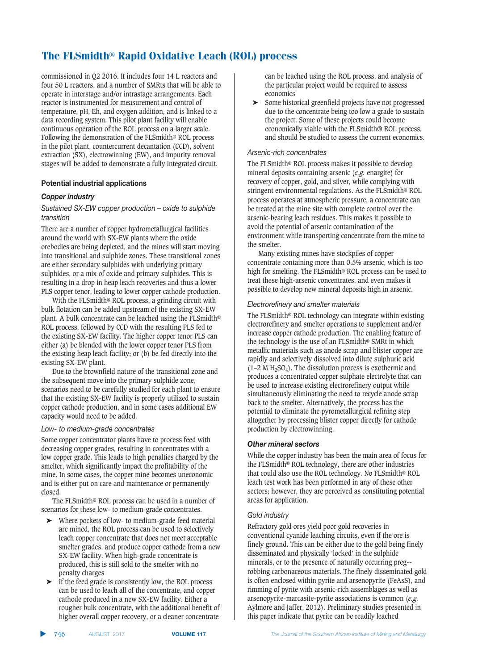commissioned in Q2 2016. It includes four 14 L reactors and four 50 L reactors, and a number of SMRts that will be able to operate in interstage and/or intrastage arrangements. Each reactor is instrumented for measurement and control of temperature, pH, Eh, and oxygen addition, and is linked to a data recording system. This pilot plant facility will enable continuous operation of the ROL process on a larger scale. Following the demonstration of the FLSmidth® ROL process in the pilot plant, countercurrent decantation (CCD), solvent extraction (SX), electrowinning (EW), and impurity removal stages will be added to demonstrate a fully integrated circuit.

# **Potential industrial applications**

# *industry*

## Sustained SX-EW copper production – oxide to sulphide transition

There are a number of copper hydrometallurgical facilities around the world with SX-EW plants where the oxide orebodies are being depleted, and the mines will start moving into transitional and sulphide zones. These transitional zones are either secondary sulphides with underlying primary sulphides, or a mix of oxide and primary sulphides. This is resulting in a drop in heap leach recoveries and thus a lower PLS copper tenor, leading to lower copper cathode production.

With the FLSmidth® ROL process, a grinding circuit with bulk flotation can be added upstream of the existing SX-EW plant. A bulk concentrate can be leached using the FLSmidth® ROL process, followed by CCD with the resulting PLS fed to the existing SX-EW facility. The higher copper tenor PLS can either (a) be blended with the lower copper tenor PLS from the existing heap leach facility; or (b) be fed directly into the existing SX-EW plant.

Due to the brownfield nature of the transitional zone and the subsequent move into the primary sulphide zone, scenarios need to be carefully studied for each plant to ensure that the existing SX-EW facility is properly utilized to sustain copper cathode production, and in some cases additional EW capacity would need to be added.

# Low- to medium-grade concentrates

Some copper concentrator plants have to process feed with decreasing copper grades, resulting in concentrates with a low copper grade. This leads to high penalties charged by the smelter, which significantly impact the profitability of the mine. In some cases, the copper mine becomes uneconomic and is either put on care and maintenance or permanently closed.

The FLSmidth® ROL process can be used in a number of scenarios for these low- to medium-grade concentrates.

- ➤ Where pockets of low- to medium-grade feed material are mined, the ROL process can be used to selectively leach copper concentrate that does not meet acceptable smelter grades, and produce copper cathode from a new SX-EW facility. When high-grade concentrate is produced, this is still sold to the smelter with no penalty charges
- ➤ If the feed grade is consistently low, the ROL process can be used to leach all of the concentrate, and copper cathode produced in a new SX-EW facility. Either a rougher bulk concentrate, with the additional benefit of higher overall copper recovery, or a cleaner concentrate

can be leached using the ROL process, and analysis of the particular project would be required to assess economics

➤ Some historical greenfield projects have not progressed due to the concentrate being too low a grade to sustain the project. Some of these projects could become economically viable with the FLSmidth® ROL process, and should be studied to assess the current economics.

## Arsenic-rich concentrates

The FLSmidth® ROL process makes it possible to develop mineral deposits containing arsenic (*e.g.* enargite) for recovery of copper, gold, and silver, while complying with stringent environmental regulations. As the FLSmidth® ROL process operates at atmospheric pressure, a concentrate can be treated at the mine site with complete control over the arsenic-bearing leach residues. This makes it possible to avoid the potential of arsenic contamination of the environment while transporting concentrate from the mine to the smelter.

Many existing mines have stockpiles of copper concentrate containing more than 0.5% arsenic, which is too high for smelting. The FLSmidth® ROL process can be used to treat these high-arsenic concentrates, and even makes it possible to develop new mineral deposits high in arsenic.

#### *Electrorefinery and smelter materials*

The FLSmidth® ROL technology can integrate within existing electrorefinery and smelter operations to supplement and/or increase copper cathode production. The enabling feature of the technology is the use of an FLSmidth® SMRt in which metallic materials such as anode scrap and blister copper are rapidly and selectively dissolved into dilute sulphuric acid  $(1–2 M H<sub>2</sub>SO<sub>4</sub>)$ . The dissolution process is exothermic and produces a concentrated copper sulphate electrolyte that can be used to increase existing electrorefinery output while simultaneously eliminating the need to recycle anode scrap back to the smelter. Alternatively, the process has the potential to eliminate the pyrometallurgical refining step altogether by processing blister copper directly for cathode production by electrowinning.

# $$

While the copper industry has been the main area of focus for the FLSmidth® ROL technology, there are other industries that could also use the ROL technology. No FLSmidth® ROL leach test work has been performed in any of these other sectors; however, they are perceived as constituting potential areas for application.

# Gold industry

Refractory gold ores yield poor gold recoveries in conventional cyanide leaching circuits, even if the ore is finely ground. This can be either due to the gold being finely disseminated and physically 'locked' in the sulphide minerals, or to the presence of naturally occurring preg- robbing carbonaceous materials. The finely disseminated gold is often enclosed within pyrite and arsenopyrite (FeAsS), and rimming of pyrite with arsenic-rich assemblages as well as arsenopyrite-marcasite-pyrite associations is common (*e.g.* Aylmore and Jaffer, 2012). Preliminary studies presented in this paper indicate that pyrite can be readily leached